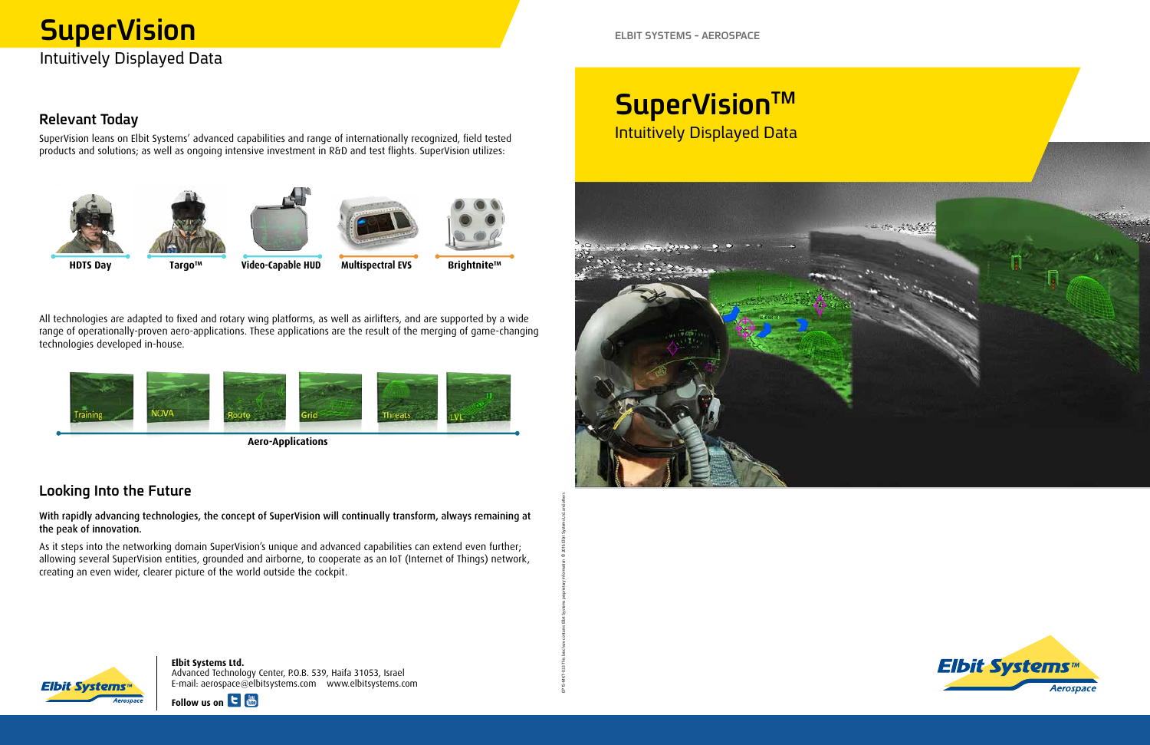# **Relevant Today**

SuperVision leans on Elbit Systems' advanced capabilities and range of internationally recognized, field tested products and solutions; as well as ongoing intensive investment in R&D and test flights. SuperVision utilizes:



**Brightnite™ EVIDEO EVALUATE MULTISHERM EVALUATE MULTISHERM EVALUATE MULTISHERM** 

EP15-MKT-033 This brochure contains Elbit Systems proprietary information © 2016 Elbit Systems Ltd. and others

All technologies are adapted to fixed and rotary wing platforms, as well as airlifters, and are supported by a wide range of operationally-proven aero-applications. These applications are the result of the merging of game-changing technologies developed in-house.

> **Elbit Systems Ltd.** Advanced Technology Center, P.O.B. 539, Haifa 31053, Israel com.elbitsystems.www com.elbitsystems@aerospace :mail-E



**SuperVision™** 







 **Applications-Aero**

# Looking Into the Future

With rapidly advancing technologies, the concept of SuperVision will continually transform, always remaining at the peak of innovation.

As it steps into the networking domain SuperVision's unique and advanced capabilities can extend even further; allowing several SuperVision entities, grounded and airborne, to cooperate as an IoT (Internet of Things) network, creating an even wider, clearer picture of the world outside the cockpit.